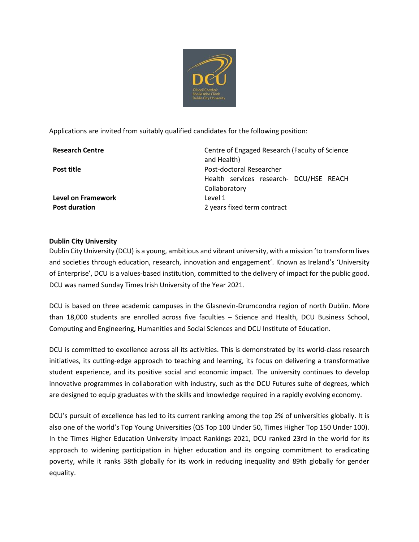

Applications are invited from suitably qualified candidates for the following position:

**Level on Framework** Level 1

**Research Centre** Centre Centre of Engaged Research (Faculty of Science and Health) **Post title Post-doctoral Researcher** Health services research- DCU/HSE REACH Collaboratory **Post duration** 2 years fixed term contract

## **Dublin City University**

Dublin City University (DCU) is a young, ambitious and vibrant university, with a mission 'to transform lives and societies through education, research, innovation and engagement'. Known as Ireland's 'University of Enterprise', DCU is a values-based institution, committed to the delivery of impact for the public good. DCU was named Sunday Times Irish University of the Year 2021.

DCU is based on three academic campuses in the Glasnevin-Drumcondra region of north Dublin. More than 18,000 students are enrolled across five faculties – Science and Health, DCU Business School, Computing and Engineering, Humanities and Social Sciences and DCU Institute of Education.

DCU is committed to excellence across all its activities. This is demonstrated by its world-class research initiatives, its cutting-edge approach to teaching and learning, its focus on delivering a transformative student experience, and its positive social and economic impact. The university continues to develop innovative programmes in collaboration with industry, such as the DCU Futures suite of degrees, which are designed to equip graduates with the skills and knowledge required in a rapidly evolving economy.

DCU's pursuit of excellence has led to its current ranking among the top 2% of universities globally. It is also one of the world's Top Young Universities (QS Top 100 Under 50, Times Higher Top 150 Under 100). In the Times Higher Education University Impact Rankings 2021, DCU ranked 23rd in the world for its approach to widening participation in higher education and its ongoing commitment to eradicating poverty, while it ranks 38th globally for its work in reducing inequality and 89th globally for gender equality.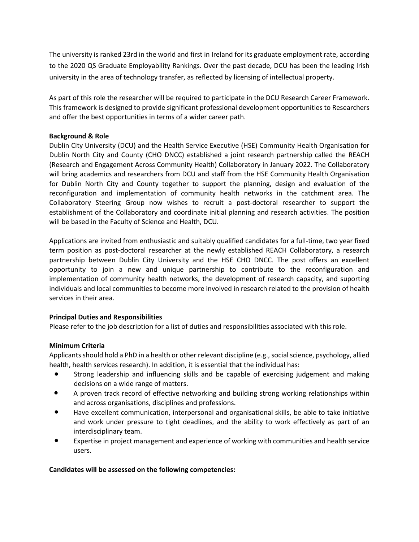The university is ranked 23rd in the world and first in Ireland for its graduate employment rate, according to the 2020 QS Graduate Employability Rankings. Over the past decade, DCU has been the leading Irish university in the area of technology transfer, as reflected by licensing of intellectual property.

As part of this role the researcher will be required to participate in the DCU Research Career Framework. This framework is designed to provide significant professional development opportunities to Researchers and offer the best opportunities in terms of a wider career path.

## **Background & Role**

Dublin City University (DCU) and the Health Service Executive (HSE) Community Health Organisation for Dublin North City and County (CHO DNCC) established a joint research partnership called the REACH (Research and Engagement Across Community Health) Collaboratory in January 2022. The Collaboratory will bring academics and researchers from DCU and staff from the HSE Community Health Organisation for Dublin North City and County together to support the planning, design and evaluation of the reconfiguration and implementation of community health networks in the catchment area. The Collaboratory Steering Group now wishes to recruit a post-doctoral researcher to support the establishment of the Collaboratory and coordinate initial planning and research activities. The position will be based in the Faculty of Science and Health, DCU.

Applications are invited from enthusiastic and suitably qualified candidates for a full-time, two year fixed term position as post-doctoral researcher at the newly established REACH Collaboratory, a research partnership between Dublin City University and the HSE CHO DNCC. The post offers an excellent opportunity to join a new and unique partnership to contribute to the reconfiguration and implementation of community health networks, the development of research capacity, and suporting individuals and local communities to become more involved in research related to the provision of health services in their area.

# **Principal Duties and Responsibilities**

Please refer to the job description for a list of duties and responsibilities associated with this role.

# **Minimum Criteria**

Applicants should hold a PhD in a health or other relevant discipline (e.g., social science, psychology, allied health, health services research). In addition, it is essential that the individual has:

- Strong leadership and influencing skills and be capable of exercising judgement and making decisions on a wide range of matters.
- A proven track record of effective networking and building strong working relationships within and across organisations, disciplines and professions.
- Have excellent communication, interpersonal and organisational skills, be able to take initiative and work under pressure to tight deadlines, and the ability to work effectively as part of an interdisciplinary team.
- Expertise in project management and experience of working with communities and health service users.

## **Candidates will be assessed on the following competencies:**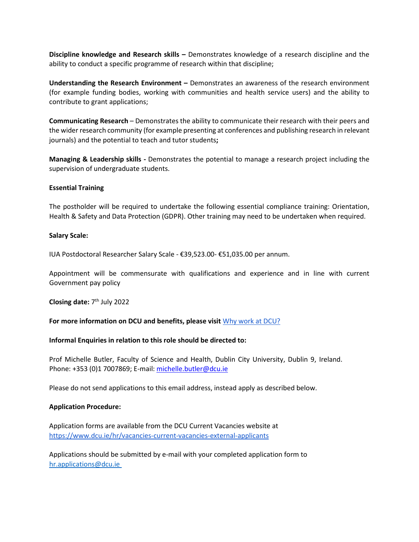**Discipline knowledge and Research skills –** Demonstrates knowledge of a research discipline and the ability to conduct a specific programme of research within that discipline;

**Understanding the Research Environment –** Demonstrates an awareness of the research environment (for example funding bodies, working with communities and health service users) and the ability to contribute to grant applications;

**Communicating Research** – Demonstrates the ability to communicate their research with their peers and the wider research community (for example presenting at conferences and publishing research in relevant journals) and the potential to teach and tutor students**;** 

**Managing & Leadership skills -** Demonstrates the potential to manage a research project including the supervision of undergraduate students.

### **Essential Training**

The postholder will be required to undertake the following essential compliance training: Orientation, Health & Safety and Data Protection (GDPR). Other training may need to be undertaken when required.

### **Salary Scale:**

IUA Postdoctoral Researcher Salary Scale - €39,523.00- €51,035.00 per annum.

Appointment will be commensurate with qualifications and experience and in line with current Government pay policy

**Closing date:** 7 th July 2022

**For more information on DCU and benefits, please visit** [Why work at DCU?](https://www.dcu.ie/hr/why-work-dcu)

### **Informal Enquiries in relation to this role should be directed to:**

Prof Michelle Butler, Faculty of Science and Health, Dublin City University, Dublin 9, Ireland. Phone: +353 (0)1 7007869; E-mail[: michelle.butler@dcu.ie](mailto:michelle.butler@dcu.ie)

Please do not send applications to this email address, instead apply as described below.

### **Application Procedure:**

Application forms are available from the DCU Current Vacancies website at <https://www.dcu.ie/hr/vacancies-current-vacancies-external-applicants>

Applications should be submitted by e-mail with your completed application form to [hr.applications@dcu.ie](mailto:hr.applications@dcu.ie)